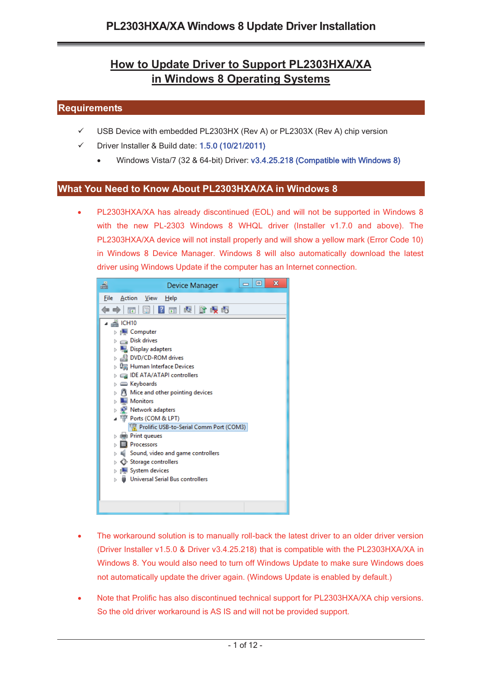# **How to Update Driver to Support PL2303HXA/XA in Windows 8 Operating Systems**

## **Requirements**

- $\checkmark$ USB Device with embedded PL2303HX (Rev A) or PL2303X (Rev A) chip version
- $\checkmark$  Driver Installer & Build date: 1.5.0 (10/21/2011)
	- -Windows Vista/7 (32 & 64-bit) Driver: v3.4.25.218 (Compatible with Windows 8)

#### **What You Need to Know About PL2303HXA/XA in Windows 8**

- PL2303HXA/XA has already discontinued (EOL) and will not be supported in Windows 8 with the new PL-2303 Windows 8 WHQL driver (Installer v1.7.0 and above). The PL2303HXA/XA device will not install properly and will show a yellow mark (Error Code 10) in Windows 8 Device Manager. Windows 8 will also automatically download the latest driver using Windows Update if the computer has an Internet connection.



- - The workaround solution is to manually roll-back the latest driver to an older driver version (Driver Installer v1.5.0 & Driver v3.4.25.218) that is compatible with the PL2303HXA/XA in Windows 8. You would also need to turn off Windows Update to make sure Windows does not automatically update the driver again. (Windows Update is enabled by default.)
- - Note that Prolific has also discontinued technical support for PL2303HXA/XA chip versions. So the old driver workaround is AS IS and will not be provided support.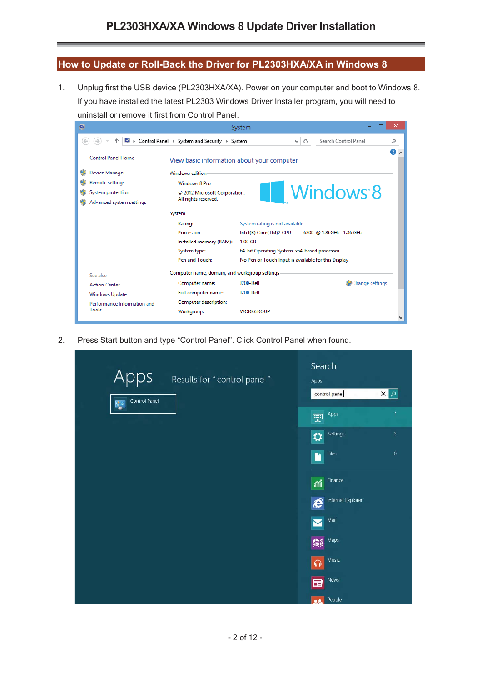### **How to Update or Roll-Back the Driver for PL2303HXA/XA in Windows 8**

1. Unplug first the USB device (PL2303HXA/XA). Power on your computer and boot to Windows 8. If you have installed the latest PL2303 Windows Driver Installer program, you will need to uninstall or remove it first from Control Panel.



2. Press Start button and type "Control Panel". Click Control Panel when found.

| 3<br>Settings<br>⇔<br>$\pmb{0}$<br>Files<br>n<br>Finance<br>緬<br>Internet Explorer<br>$\boldsymbol{\epsilon}$<br>Mail<br>$\blacktriangleright$<br>Maps<br>編<br>Music<br>$\Omega$<br>News<br>日 | Apps<br>Results for " control panel"<br>Control Panel<br>驆 | Search<br>Apps<br>$\mathbf{x}$<br>control panel<br>$\mathbf{1}$<br>Apps |
|-----------------------------------------------------------------------------------------------------------------------------------------------------------------------------------------------|------------------------------------------------------------|-------------------------------------------------------------------------|
|                                                                                                                                                                                               |                                                            | 靊                                                                       |
|                                                                                                                                                                                               |                                                            |                                                                         |
|                                                                                                                                                                                               |                                                            |                                                                         |
|                                                                                                                                                                                               |                                                            |                                                                         |
|                                                                                                                                                                                               |                                                            |                                                                         |
|                                                                                                                                                                                               |                                                            |                                                                         |
|                                                                                                                                                                                               |                                                            |                                                                         |
| People                                                                                                                                                                                        |                                                            |                                                                         |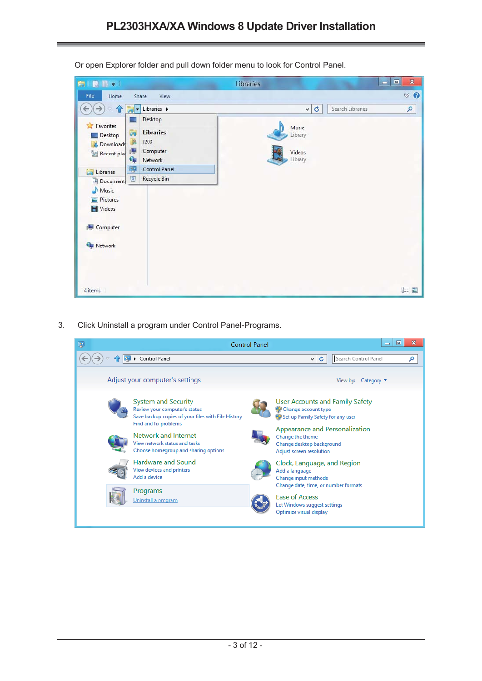| <b>MIDIS</b>                                                           |                                                                      | Libraries                             | $\pmb{\mathbb{X}}$<br>$\Box$<br>$=$ |
|------------------------------------------------------------------------|----------------------------------------------------------------------|---------------------------------------|-------------------------------------|
| File<br>Home                                                           | Share<br>View                                                        |                                       | $\vee$ 0                            |
| $\rightarrow$<br>$\leftarrow$<br>企<br>w                                | $\Box$ $\bullet$ Libraries $\rightarrow$                             | ¢<br>Search Libraries<br>v            | ٩                                   |
| <b>Experience</b>                                                      | Desktop                                                              |                                       |                                     |
| Desktop<br>Downloads<br>le.<br>Recent plac                             | ā<br><b>Libraries</b><br>B<br>J200<br>県<br>Computer<br>Gy<br>Network | Music<br>Library<br>Videos<br>Library |                                     |
| ā<br>Libraries                                                         | 辱<br><b>Control Panel</b><br><b>Recycle Bin</b><br>$\boxed{\circ}$   |                                       |                                     |
| Document:<br>Music<br><b>Pictures</b><br>Videos<br>Computer<br>Network |                                                                      |                                       |                                     |
| 4 items                                                                |                                                                      |                                       | <b>詳日</b>                           |

Or open Explorer folder and pull down folder menu to look for Control Panel.

3. Click Uninstall a program under Control Panel-Programs.

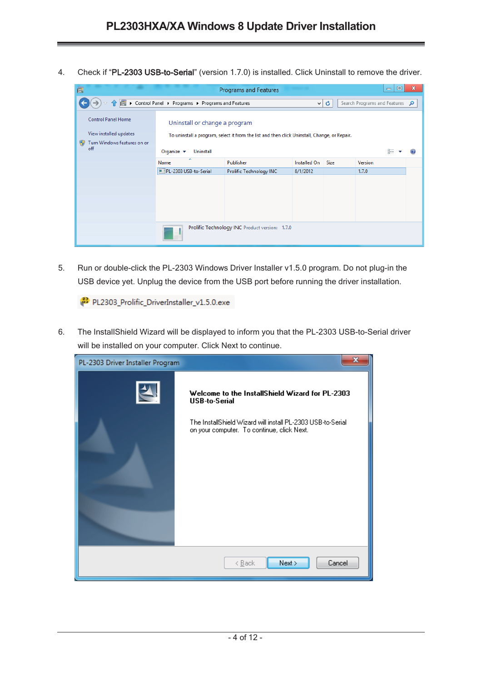4. Check if "PL-2303 USB-to-Serial" (version 1.7.0) is installed. Click Uninstall to remove the driver.

| 画                                                                                  |                                                    | Programs and Features                                                                        |              |      | ▣<br>$\qquad \qquad \Box$      | $\mathbf x$ |
|------------------------------------------------------------------------------------|----------------------------------------------------|----------------------------------------------------------------------------------------------|--------------|------|--------------------------------|-------------|
|                                                                                    | ▶ Control Panel ▶ Programs ▶ Programs and Features |                                                                                              | v            | ¢    | Search Programs and Features Q |             |
| <b>Control Panel Home</b><br>View installed updates<br>Turn Windows features on or | Uninstall or change a program                      | To uninstall a program, select it from the list and then click Uninstall, Change, or Repair. |              |      |                                |             |
| off                                                                                | Organize $\blacktriangledown$<br>Uninstall         |                                                                                              |              |      | 肛                              |             |
|                                                                                    | ▴<br>Name                                          | Publisher                                                                                    | Installed On | Size | Version                        |             |
|                                                                                    | PL-2303 USB-to-Serial                              | Prolific Technology INC                                                                      | 8/1/2012     |      | 1.7.0                          |             |
|                                                                                    |                                                    |                                                                                              |              |      |                                |             |
|                                                                                    | Prolific Technology INC Product version: 1.7.0     |                                                                                              |              |      |                                |             |

5. Run or double-click the PL-2303 Windows Driver Installer v1.5.0 program. Do not plug-in the USB device yet. Unplug the device from the USB port before running the driver installation.

PL2303\_Prolific\_DriverInstaller\_v1.5.0.exe

6. The InstallShield Wizard will be displayed to inform you that the PL-2303 USB-to-Serial driver will be installed on your computer. Click Next to continue.

| PL-2303 Driver Installer Program | $\mathbf x$                                                                                               |
|----------------------------------|-----------------------------------------------------------------------------------------------------------|
|                                  | Welcome to the InstallShield Wizard for PL-2303<br><b>USB-to-Serial</b>                                   |
|                                  | The InstallShield Wizard will install PL-2303 USB-to-Serial<br>on your computer. To continue, click Next. |
|                                  | Next<br>Cancel<br>$\leq$ Back                                                                             |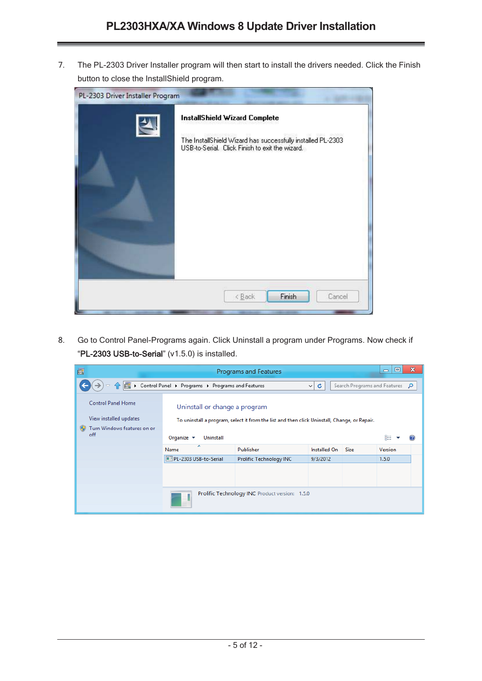7. The PL-2303 Driver Installer program will then start to install the drivers needed. Click the Finish button to close the InstallShield program.

| PL-2303 Driver Installer Program | InstallShield Wizard Complete<br>The InstallShield Wizard has successfully installed PL-2303<br>USB-to-Serial. Click Finish to exit the wizard. |
|----------------------------------|-------------------------------------------------------------------------------------------------------------------------------------------------|
|                                  | Finish<br>$\angle$ Back<br>Cancel                                                                                                               |

8. Go to Control Panel-Programs again. Click Uninstall a program under Programs. Now check if "PL-2303 USB-to-Serial" (v1.5.0) is installed.

| 画                                  |                                                    | Programs and Features                                                                        |              |             | $\mathbf x$<br>回<br>$\qquad \qquad \Box$ |
|------------------------------------|----------------------------------------------------|----------------------------------------------------------------------------------------------|--------------|-------------|------------------------------------------|
|                                    | > Control Panel > Programs > Programs and Features |                                                                                              | ¢<br>v.      |             | Search Programs and Features Q           |
| Control Panel Home                 | Uninstall or change a program                      |                                                                                              |              |             |                                          |
| View installed updates             |                                                    | To uninstall a program, select it from the list and then click Uninstall, Change, or Repair. |              |             |                                          |
| Turn Windows features on or<br>off | Organize $\blacktriangledown$<br>Uninstall         |                                                                                              |              |             | 駐                                        |
|                                    | Name                                               | Publisher                                                                                    | Installed On | <b>Size</b> | Version                                  |
|                                    | PL-2303 USB-to-Serial                              | Prolific Technology INC                                                                      | 9/3/2012     |             | 1.5.0                                    |
|                                    |                                                    |                                                                                              |              |             |                                          |
|                                    |                                                    |                                                                                              |              |             |                                          |
|                                    |                                                    | Prolific Technology INC Product version: 1.5.0                                               |              |             |                                          |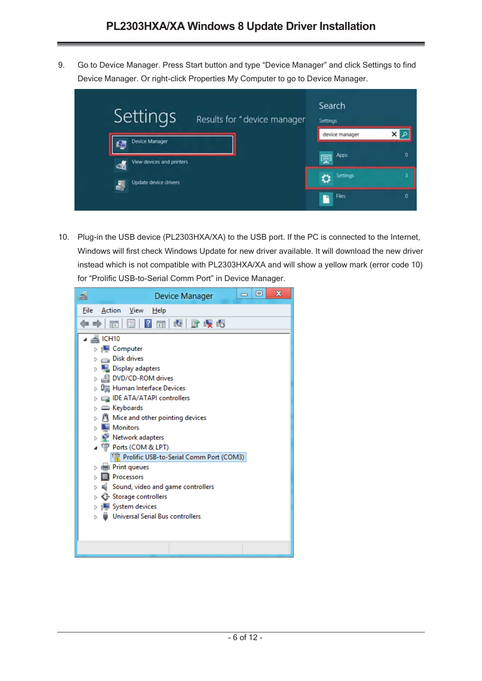9. Go to Device Manager. Press Start button and type "Device Manager" and click Settings to find Device Manager. Or right-click Properties My Computer to go to Device Manager.



10. Plug-in the USB device (PL2303HXA/XA) to the USB port. If the PC is connected to the Internet, Windows will first check Windows Update for new driver available. It will download the new driver instead which is not compatible with PL2303HXA/XA and will show a yellow mark (error code 10) for "Prolific USB-to-Serial Comm Port" in Device Manager.

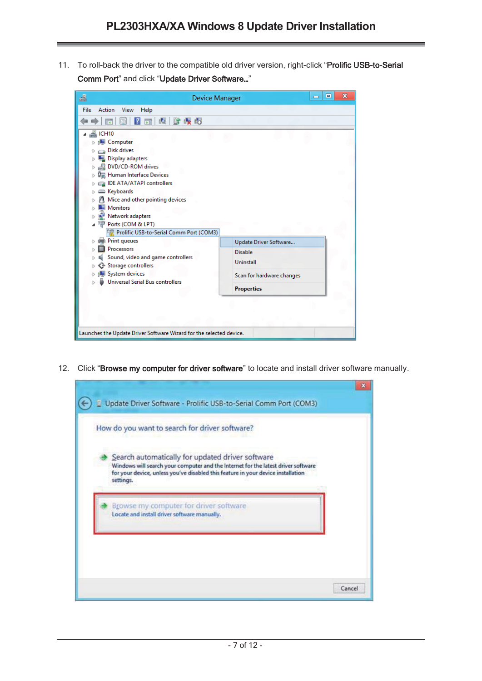11. To roll-back the driver to the compatible old driver version, right-click "Prolific USB-to-Serial Comm Port" and click "Update Driver Software…"

| Action<br>File<br>View<br>Help<br>₫.<br>暗眼帽<br>請<br>13<br>罱<br>A ICH10<br>Computer<br><b>Disk drives</b><br>Þ<br>Display adapters<br>DVD/CD-ROM drives<br><sup>0</sup> Human Interface Devices<br>IDE ATA/ATAPI controllers<br><b>Exploards</b><br>⊳<br>M Mice and other pointing devices<br><b>Monitors</b><br>Network adapters<br>Ports (COM & LPT)<br>Prolific USB-to-Serial Comm Port (COM3)<br>Print queues<br>Update Driver Software<br>Processors<br>Disable<br>Sound, video and game controllers<br>Uninstall<br>Storage controllers<br>System devices<br>Scan for hardware changes<br><b>Universal Serial Bus controllers</b><br><b>Properties</b> | 녬<br>Device Manager | х<br>e<br>$\equiv$ |
|-------------------------------------------------------------------------------------------------------------------------------------------------------------------------------------------------------------------------------------------------------------------------------------------------------------------------------------------------------------------------------------------------------------------------------------------------------------------------------------------------------------------------------------------------------------------------------------------------------------------------------------------------------------|---------------------|--------------------|
|                                                                                                                                                                                                                                                                                                                                                                                                                                                                                                                                                                                                                                                             |                     |                    |
|                                                                                                                                                                                                                                                                                                                                                                                                                                                                                                                                                                                                                                                             |                     |                    |
|                                                                                                                                                                                                                                                                                                                                                                                                                                                                                                                                                                                                                                                             |                     |                    |

12. Click "Browse my computer for driver software" to locate and install driver software manually.

|                                                                                                                                                                                                                                        | How do you want to search for driver software? |  |
|----------------------------------------------------------------------------------------------------------------------------------------------------------------------------------------------------------------------------------------|------------------------------------------------|--|
| Search automatically for updated driver software<br>Windows will search your computer and the Internet for the latest driver software<br>for your device, unless you've disabled this feature in your device installation<br>settings. |                                                |  |
| Browse my computer for driver software<br>Locate and install driver software manually.                                                                                                                                                 |                                                |  |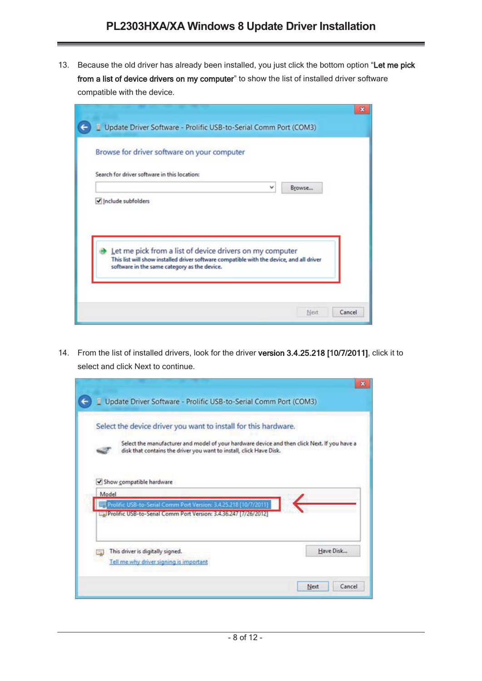13. Because the old driver has already been installed, you just click the bottom option "Let me pick from a list of device drivers on my computer" to show the list of installed driver software compatible with the device.

|                                              | Browse for driver software on your computer                                              |   |        |  |
|----------------------------------------------|------------------------------------------------------------------------------------------|---|--------|--|
| Search for driver software in this location: |                                                                                          |   |        |  |
|                                              |                                                                                          | v | Browse |  |
|                                              |                                                                                          |   |        |  |
|                                              |                                                                                          |   |        |  |
|                                              | Let me pick from a list of device drivers on my computer                                 |   |        |  |
|                                              | This list will show installed driver software compatible with the device, and all driver |   |        |  |
| software in the same category as the device. |                                                                                          |   |        |  |

14. From the list of installed drivers, look for the driver version 3.4.25.218 [10/7/2011], click it to select and click Next to continue.

|       | Select the device driver you want to install for this hardware.                                                                                                     |
|-------|---------------------------------------------------------------------------------------------------------------------------------------------------------------------|
|       | Select the manufacturer and model of your hardware device and then click Next. If you have a<br>disk that contains the driver you want to install, click Have Disk. |
| Model | Show compatible hardware                                                                                                                                            |
|       |                                                                                                                                                                     |
|       | Prolific USB-to-Serial Comm Port Version: 3.4.25.218 [10/7/2011]<br>La Prolific USB-to-Serial Comm Port Version: 3.4.36.247 (7/26/2012)                             |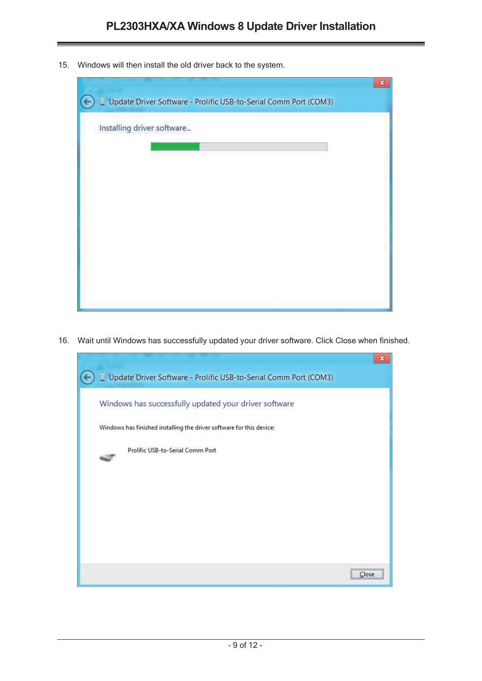15. Windows will then install the old driver back to the system.



16. Wait until Windows has successfully updated your driver software. Click Close when finished.

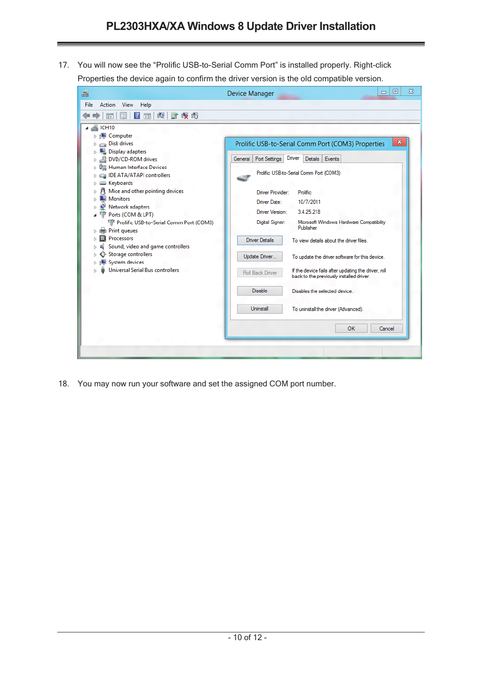17. You will now see the "Prolific USB-to-Serial Comm Port" is installed properly. Right-click Properties the device again to confirm the driver version is the old compatible version.

| <b>File</b><br>Action<br>View<br>Help<br> ? <br>u₫.<br>雌眼帽<br>団<br>圖<br>⊜<br>ार<br>$\triangleq$ ICH10<br>$\triangleright$ 1 Computer<br>x<br>Disk drives<br>Prolific USB-to-Serial Comm Port (COM3) Properties<br>Þ<br>부<br>Display adapters<br>Þ<br>Driver<br>Details Events<br>Port Settings<br>DVD/CD-ROM drives<br>General<br>4<br>Þ<br>『 Human Interface Devices<br>Prolific USB-to-Serial Comm Port (COM3)<br>IDE ATA/ATAPI controllers<br>COM Keyboards<br>Mice and other pointing devices<br>Driver Provider:<br><b>Prolific</b><br><b>Monitors</b><br>Driver Date:<br>10/7/2011<br>Network adapters<br>Driver Version:<br>3.4.25.218<br>Ports (COM & LPT)<br>Prolific USB-to-Serial Comm Port (COM3)<br>Digital Signer:<br>Microsoft Windows Hardware Compatibility<br>Publisher<br>Print queues<br>Processors<br>Driver Details<br>To view details about the driver files.<br>Sound, video and game controllers<br>Storage controllers<br>Update Driver<br>To update the driver software for this device.<br>System devices<br>▷<br><b>Universal Serial Bus controllers</b><br>If the device fails after updating the driver, roll<br>Roll Back Driver<br>back to the previously installed driver.<br><b>Disable</b><br>Disables the selected device<br>Uninstall<br>To uninstall the driver (Advanced).<br>0K | a | $\Sigma$<br>回<br>Device Manager<br>$\equiv$ |
|--------------------------------------------------------------------------------------------------------------------------------------------------------------------------------------------------------------------------------------------------------------------------------------------------------------------------------------------------------------------------------------------------------------------------------------------------------------------------------------------------------------------------------------------------------------------------------------------------------------------------------------------------------------------------------------------------------------------------------------------------------------------------------------------------------------------------------------------------------------------------------------------------------------------------------------------------------------------------------------------------------------------------------------------------------------------------------------------------------------------------------------------------------------------------------------------------------------------------------------------------------------------------------------------------------------------------|---|---------------------------------------------|
|                                                                                                                                                                                                                                                                                                                                                                                                                                                                                                                                                                                                                                                                                                                                                                                                                                                                                                                                                                                                                                                                                                                                                                                                                                                                                                                          |   |                                             |
|                                                                                                                                                                                                                                                                                                                                                                                                                                                                                                                                                                                                                                                                                                                                                                                                                                                                                                                                                                                                                                                                                                                                                                                                                                                                                                                          |   |                                             |
|                                                                                                                                                                                                                                                                                                                                                                                                                                                                                                                                                                                                                                                                                                                                                                                                                                                                                                                                                                                                                                                                                                                                                                                                                                                                                                                          |   | Cancel                                      |

18. You may now run your software and set the assigned COM port number.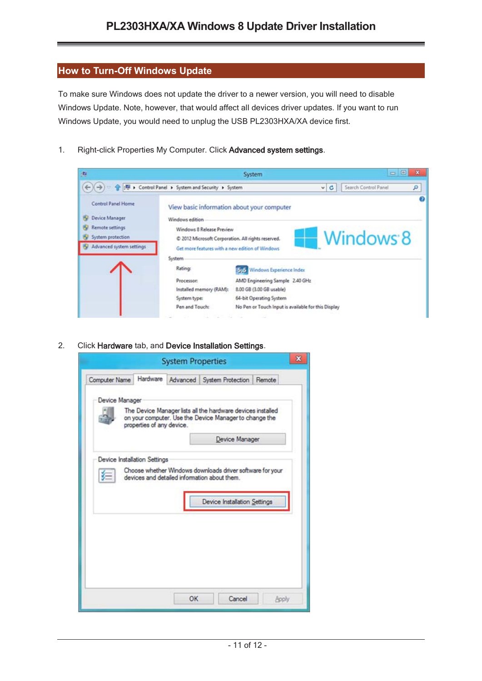#### **How to Turn-Off Windows Update**

To make sure Windows does not update the driver to a newer version, you will need to disable Windows Update. Note, however, that would affect all devices driver updates. If you want to run Windows Update, you would need to unplug the USB PL2303HXA/XA device first.

1. Right-click Properties My Computer. Click Advanced system settings.



2. Click Hardware tab, and Device Installation Settings.

|                      |                           | <b>System Properties</b> |                                                                                                                       | ×      |
|----------------------|---------------------------|--------------------------|-----------------------------------------------------------------------------------------------------------------------|--------|
| <b>Computer Name</b> |                           |                          | Hardware Advanced System Protection                                                                                   | Remote |
| Device Manager       | properties of any device. |                          | The Device Manager lists all the hardware devices installed<br>on your computer. Use the Device Manager to change the |        |
|                      |                           |                          | Device Manager                                                                                                        |        |
|                      |                           |                          | devices and detailed information about them.<br>Device Installation Settings                                          |        |
|                      |                           |                          |                                                                                                                       |        |
|                      |                           |                          |                                                                                                                       |        |
|                      |                           |                          |                                                                                                                       |        |